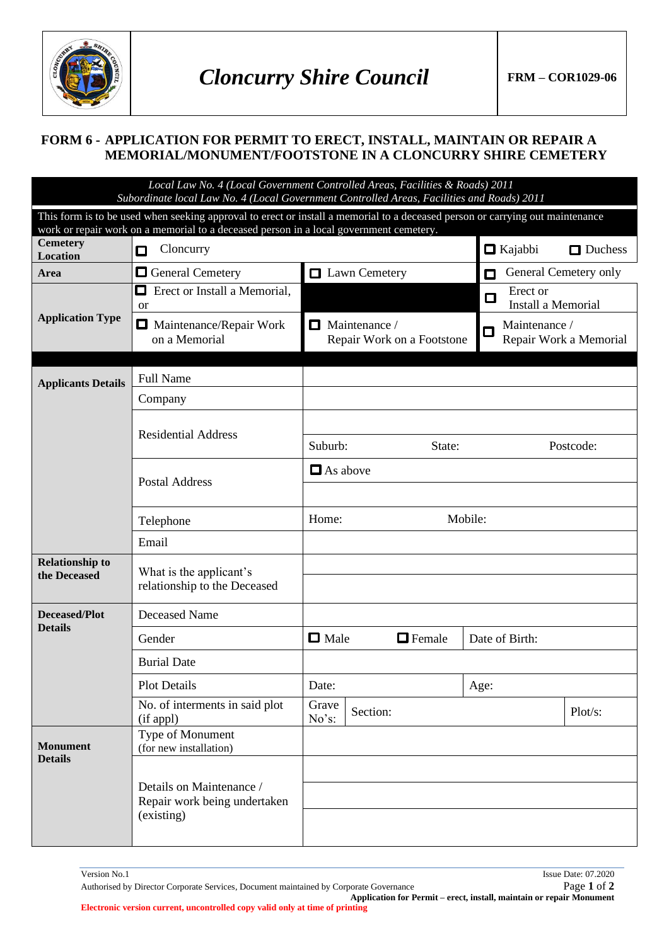

## **FORM 6 - APPLICATION FOR PERMIT TO ERECT, INSTALL, MAINTAIN OR REPAIR A MEMORIAL/MONUMENT/FOOTSTONE IN A CLONCURRY SHIRE CEMETERY**

*Local Law No. 4 (Local Government Controlled Areas, Facilities & Roads) 2011 Subordinate local Law No. 4 (Local Government Controlled Areas, Facilities and Roads) 2011* 

| suboramale local Law Ivo. 4 (Local Government Controlled Areas, Faculties and Kodas) 2011                                                                                                                               |                                                                        |                              |                                              |  |
|-------------------------------------------------------------------------------------------------------------------------------------------------------------------------------------------------------------------------|------------------------------------------------------------------------|------------------------------|----------------------------------------------|--|
| This form is to be used when seeking approval to erect or install a memorial to a deceased person or carrying out maintenance<br>work or repair work on a memorial to a deceased person in a local government cemetery. |                                                                        |                              |                                              |  |
| <b>Cemetery</b><br><b>Location</b>                                                                                                                                                                                      | Cloncurry<br>◘                                                         |                              | $\Box$ Kajabbi<br>Duchess                    |  |
| Area                                                                                                                                                                                                                    | General Cemetery                                                       | Lawn Cemetery                | General Cemetery only<br>О                   |  |
| <b>Application Type</b>                                                                                                                                                                                                 | Erect or Install a Memorial,<br>$\Box$                                 |                              | Erect or<br>$\Box$<br>Install a Memorial     |  |
|                                                                                                                                                                                                                         | <sub>or</sub><br>$\Box$                                                | $\Box$ Maintenance /         |                                              |  |
|                                                                                                                                                                                                                         | Maintenance/Repair Work<br>on a Memorial                               | Repair Work on a Footstone   | Maintenance /<br>О<br>Repair Work a Memorial |  |
|                                                                                                                                                                                                                         |                                                                        |                              |                                              |  |
| <b>Applicants Details</b>                                                                                                                                                                                               | <b>Full Name</b>                                                       |                              |                                              |  |
|                                                                                                                                                                                                                         | Company                                                                |                              |                                              |  |
|                                                                                                                                                                                                                         | <b>Residential Address</b>                                             |                              |                                              |  |
|                                                                                                                                                                                                                         |                                                                        | Suburb:<br>State:            | Postcode:                                    |  |
|                                                                                                                                                                                                                         |                                                                        | $\Box$ As above              |                                              |  |
|                                                                                                                                                                                                                         | <b>Postal Address</b>                                                  |                              |                                              |  |
|                                                                                                                                                                                                                         | Telephone                                                              | Mobile:<br>Home:             |                                              |  |
|                                                                                                                                                                                                                         | Email                                                                  |                              |                                              |  |
| <b>Relationship to</b><br>the Deceased                                                                                                                                                                                  | What is the applicant's<br>relationship to the Deceased                |                              |                                              |  |
| <b>Deceased/Plot</b>                                                                                                                                                                                                    | <b>Deceased Name</b>                                                   |                              |                                              |  |
| <b>Details</b>                                                                                                                                                                                                          | Gender                                                                 | $\Box$ Male<br>$\Box$ Female | Date of Birth:                               |  |
|                                                                                                                                                                                                                         | <b>Burial Date</b>                                                     |                              |                                              |  |
|                                                                                                                                                                                                                         | <b>Plot Details</b>                                                    | Date:                        | Age:                                         |  |
|                                                                                                                                                                                                                         | No. of interments in said plot<br>(if appl)                            | Grave<br>Section:<br>No's:   | Plot/s:                                      |  |
| <b>Monument</b><br><b>Details</b>                                                                                                                                                                                       | Type of Monument<br>(for new installation)                             |                              |                                              |  |
|                                                                                                                                                                                                                         | Details on Maintenance /<br>Repair work being undertaken<br>(existing) |                              |                                              |  |
|                                                                                                                                                                                                                         |                                                                        |                              |                                              |  |